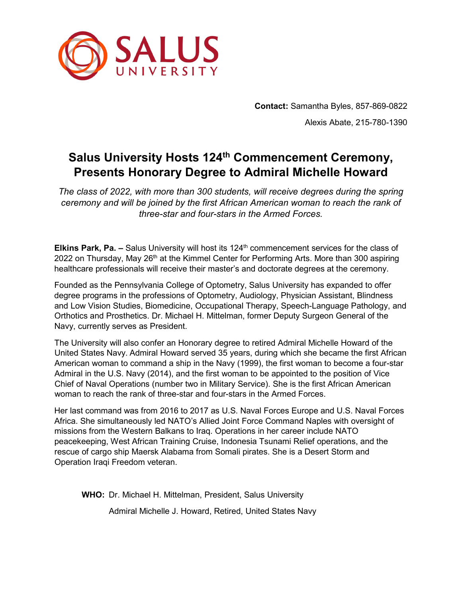

**Contact:** Samantha Byles, 857-869-0822 Alexis Abate, 215-780-1390

## **Salus University Hosts 124th Commencement Ceremony, Presents Honorary Degree to Admiral Michelle Howard**

*The class of 2022, with more than 300 students, will receive degrees during the spring ceremony and will be joined by the first African American woman to reach the rank of three-star and four-stars in the Armed Forces.*

**Elkins Park, Pa. –** Salus University will host its 124th commencement services for the class of 2022 on Thursday, May 26<sup>th</sup> at the Kimmel Center for Performing Arts. More than 300 aspiring healthcare professionals will receive their master's and doctorate degrees at the ceremony.

Founded as the Pennsylvania College of Optometry, Salus University has expanded to offer degree programs in the professions of Optometry, Audiology, Physician Assistant, Blindness and Low Vision Studies, Biomedicine, Occupational Therapy, Speech-Language Pathology, and Orthotics and Prosthetics. Dr. Michael H. Mittelman, former Deputy Surgeon General of the Navy, currently serves as President.

The University will also confer an Honorary degree to retired Admiral Michelle Howard of the United States Navy. Admiral Howard served 35 years, during which she became the first African American woman to command a ship in the Navy (1999), the first woman to become a four-star Admiral in the U.S. Navy (2014), and the first woman to be appointed to the position of Vice Chief of Naval Operations (number two in Military Service). She is the first African American woman to reach the rank of three-star and four-stars in the Armed Forces.

Her last command was from 2016 to 2017 as U.S. Naval Forces Europe and U.S. Naval Forces Africa. She simultaneously led NATO's Allied Joint Force Command Naples with oversight of missions from the Western Balkans to Iraq. Operations in her career include NATO peacekeeping, West African Training Cruise, Indonesia Tsunami Relief operations, and the rescue of cargo ship Maersk Alabama from Somali pirates. She is a Desert Storm and Operation Iraqi Freedom veteran.

**WHO:** Dr. Michael H. Mittelman, President, Salus University Admiral Michelle J. Howard, Retired, United States Navy